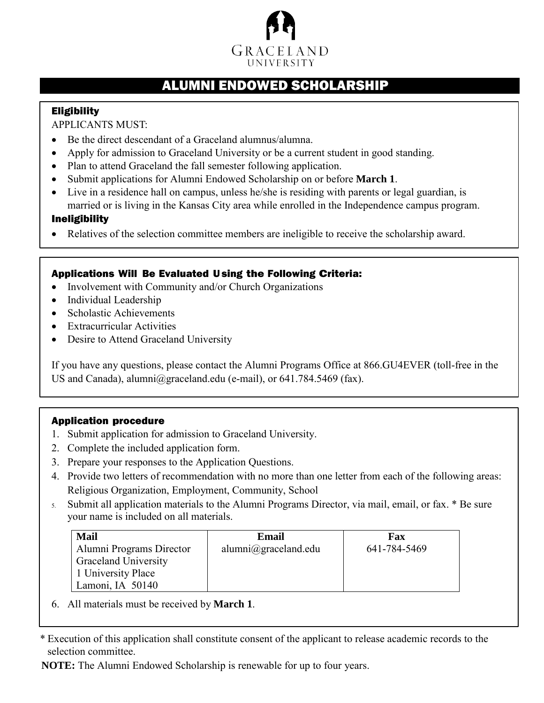

## ALUMNI ENDOWED SCHOLARSHIP

## **Eligibility**

APPLICANTS MUST:

- Be the direct descendant of a Graceland alumnus/alumna.
- Apply for admission to Graceland University or be a current student in good standing.
- Plan to attend Graceland the fall semester following application.
- Submit applications for Alumni Endowed Scholarship on or before **March 1**.
- Live in a residence hall on campus, unless he/she is residing with parents or legal guardian, is married or is living in the Kansas City area while enrolled in the Independence campus program.

#### Ineligibility

• Relatives of the selection committee members are ineligible to receive the scholarship award.

## Applications Will Be Evaluated Using the Following Criteria:

- Involvement with Community and/or Church Organizations
- Individual Leadership
- Scholastic Achievements
- Extracurricular Activities
- Desire to Attend Graceland University

If you have any questions, please contact the Alumni Programs Office at 866.GU4EVER (toll-free in the US and Canada), [alumni@graceland.edu \(](mailto:alumni@graceland.edu)e-mail), or 641.784.5469 (fax).

## Application procedure

- 1. Submit application for admission to Graceland University.
- 2. Complete the included application form.
- 3. Prepare your responses to the Application Questions.
- 4. Provide two letters of recommendation with no more than one letter from each of the following areas: Religious Organization, Employment, Community, School
- 5. Submit all application materials to the Alumni Programs Director, via mail, email, or fax. \* Be sure your name is included on all materials.

| <b>Mail</b>                 | Email                | Fax          |
|-----------------------------|----------------------|--------------|
| Alumni Programs Director    | alumni@graceland.edu | 641-784-5469 |
| <b>Graceland University</b> |                      |              |
| 1 University Place          |                      |              |
| Lamoni, IA 50140            |                      |              |

6. All materials must be received by **March 1**.

\* Execution of this application shall constitute consent of the applicant to release academic records to the selection committee.

**NOTE:** The Alumni Endowed Scholarship is renewable for up to four years.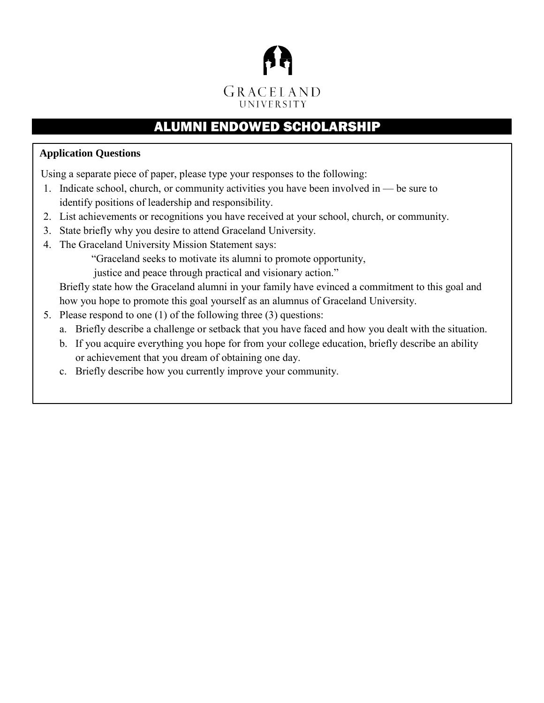

# ALUMNI ENDOWED SCHOLARSHIP

## **Application Questions**

Using a separate piece of paper, please type your responses to the following:

- 1. Indicate school, church, or community activities you have been involved in be sure to identify positions of leadership and responsibility.
- 2. List achievements or recognitions you have received at your school, church, or community.
- 3. State briefly why you desire to attend Graceland University.
- 4. The Graceland University Mission Statement says:

"Graceland seeks to motivate its alumni to promote opportunity,

justice and peace through practical and visionary action."

Briefly state how the Graceland alumni in your family have evinced a commitment to this goal and how you hope to promote this goal yourself as an alumnus of Graceland University.

- 5. Please respond to one (1) of the following three (3) questions:
	- a. Briefly describe a challenge or setback that you have faced and how you dealt with the situation.
	- b. If you acquire everything you hope for from your college education, briefly describe an ability or achievement that you dream of obtaining one day.
	- c. Briefly describe how you currently improve your community.